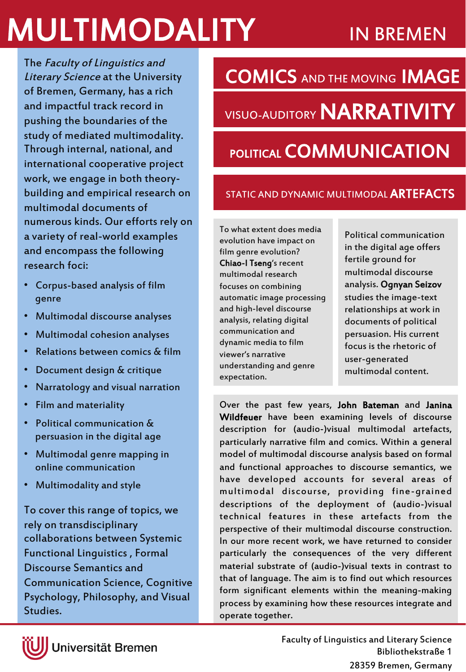# **MULTIMODALITY** IN BREMEN

The Faculty of Linguistics and Literary Science at the University of Bremen, Germany, has a rich and impactful track record in pushing the boundaries of the study of mediated multimodality. Through internal, national, and international cooperative project work, we engage in both theorybuilding and empirical research on multimodal documents of numerous kinds. Our efforts rely on a variety of real-world examples and encompass the following research foci:

- Corpus-based analysis of film genre
- Multimodal discourse analyses
- Multimodal cohesion analyses
- Relations between comics & film
- Document design & critique
- Narratology and visual narration
- Film and materiality
- Political communication & persuasion in the digital age
- Multimodal genre mapping in online communication
- Multimodality and style

To cover this range of topics, we rely on transdisciplinary collaborations between Systemic Functional Linguistics , Formal Discourse Semantics and Communication Science, Cognitive Psychology, Philosophy, and Visual Studies.

VISUO-AUDITORY **NARRATIVITY** COMICS AND THE MOVING IMAGE

## POLITICAL **COMMUNICATION**

## STATIC AND DYNAMIC MULTIMODAL **ARTEFACTS**

To what extent does media evolution have impact on film genre evolution? Chiao-I Tseng's recent multimodal research focuses on combining automatic image processing and high-level discourse analysis, relating digital communication and dynamic media to film viewer's narrative understanding and genre expectation.

Political communication in the digital age offers fertile ground for multimodal discourse analysis. Ognyan Seizov studies the image-text relationships at work in documents of political persuasion. His current focus is the rhetoric of user-generated multimodal content.

Over the past few years, John Bateman and Janina Wildfeuer have been examining levels of discourse description for (audio-)visual multimodal artefacts, particularly narrative film and comics. Within a general model of multimodal discourse analysis based on formal and functional approaches to discourse semantics, we have developed accounts for several areas of multimodal discourse, providing fine-grained descriptions of the deployment of (audio-)visual technical features in these artefacts from the perspective of their multimodal discourse construction. In our more recent work, we have returned to consider particularly the consequences of the very different material substrate of (audio-)visual texts in contrast to that of language. The aim is to find out which resources form significant elements within the meaning-making process by examining how these resources integrate and operate together.



Universität Bremen

Faculty of Linguistics and Literary Science Bibliothekstraße 1 28359 Bremen, Germany